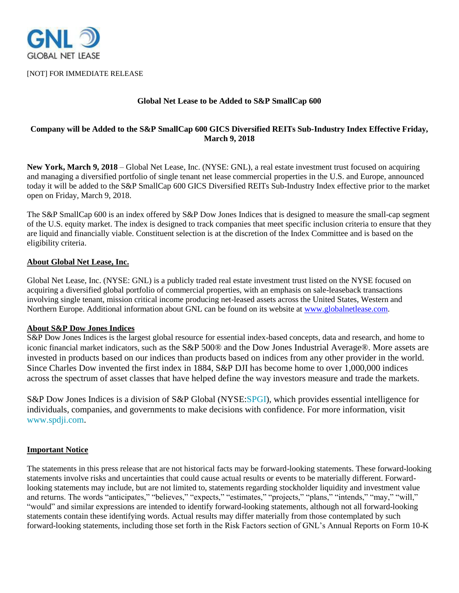

[NOT] FOR IMMEDIATE RELEASE

## **Global Net Lease to be Added to S&P SmallCap 600**

# **Company will be Added to the S&P SmallCap 600 GICS Diversified REITs Sub-Industry Index Effective Friday, March 9, 2018**

**New York, March 9, 2018** – Global Net Lease, Inc. (NYSE: GNL), a real estate investment trust focused on acquiring and managing a diversified portfolio of single tenant net lease commercial properties in the U.S. and Europe, announced today it will be added to the S&P SmallCap 600 GICS Diversified REITs Sub-Industry Index effective prior to the market open on Friday, March 9, 2018.

The S&P SmallCap 600 is an index offered by S&P Dow Jones Indices that is designed to measure the small-cap segment of the U.S. equity market. The index is designed to track companies that meet specific inclusion criteria to ensure that they are liquid and financially viable. Constituent selection is at the discretion of the Index Committee and is based on the eligibility criteria.

### **About Global Net Lease, Inc.**

Global Net Lease, Inc. (NYSE: GNL) is a publicly traded real estate investment trust listed on the NYSE focused on acquiring a diversified global portfolio of commercial properties, with an emphasis on sale-leaseback transactions involving single tenant, mission critical income producing net-leased assets across the United States, Western and Northern Europe. Additional information about GNL can be found on its website at [www.globalnetlease.com.](http://www.globalnetlease.com/)

### **About S&P Dow Jones Indices**

S&P Dow Jones Indices is the largest global resource for essential index-based concepts, data and research, and home to iconic financial market indicators, such as the S&P 500® and the Dow Jones Industrial Average®. More assets are invested in products based on our indices than products based on indices from any other provider in the world. Since Charles Dow invented the first index in 1884, S&P DJI has become home to over 1,000,000 indices across the spectrum of asset classes that have helped define the way investors measure and trade the markets.

S&P Dow Jones Indices is a division of S&P Global (NYSE[:SPGI\)](https://globenewswire.com/News/Listing?symbol=SPGI&exchange=4), which provides essential intelligence for individuals, companies, and governments to make decisions with confidence. For more information, visit [www.spdji.com.](https://www.globenewswire.com/Tracker?data=7mLnXecwNRGh0O9e-jIbz9SnPbn5GpHH00ET83Nxr2RLMPH4SJFlF0wz38M2TQI3bY4AmGqMh0v86cpegDG0vg==)

### **Important Notice**

The statements in this press release that are not historical facts may be forward-looking statements. These forward-looking statements involve risks and uncertainties that could cause actual results or events to be materially different. Forwardlooking statements may include, but are not limited to, statements regarding stockholder liquidity and investment value and returns. The words "anticipates," "believes," "expects," "estimates," "projects," "plans," "intends," "may," "will," "would" and similar expressions are intended to identify forward-looking statements, although not all forward-looking statements contain these identifying words. Actual results may differ materially from those contemplated by such forward-looking statements, including those set forth in the Risk Factors section of GNL's Annual Reports on Form 10-K